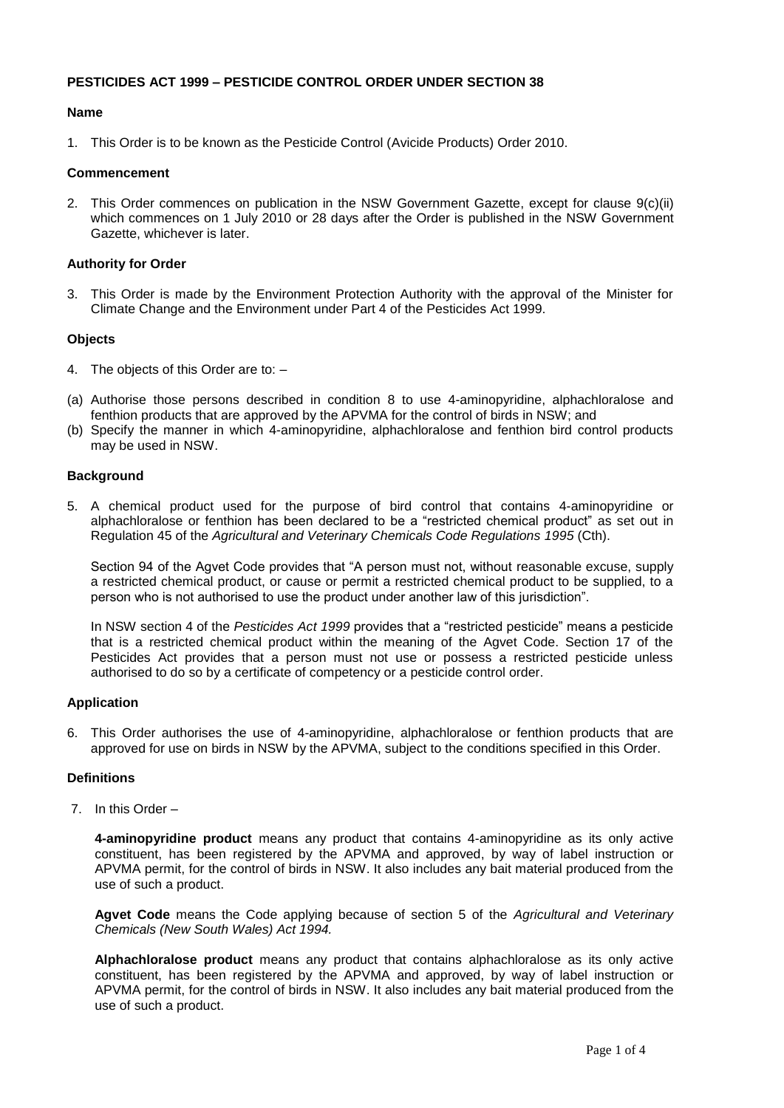## **PESTICIDES ACT 1999 – PESTICIDE CONTROL ORDER UNDER SECTION 38**

## **Name**

1. This Order is to be known as the Pesticide Control (Avicide Products) Order 2010.

### **Commencement**

2. This Order commences on publication in the NSW Government Gazette, except for clause 9(c)(ii) which commences on 1 July 2010 or 28 days after the Order is published in the NSW Government Gazette, whichever is later.

## **Authority for Order**

3. This Order is made by the Environment Protection Authority with the approval of the Minister for Climate Change and the Environment under Part 4 of the Pesticides Act 1999.

## **Objects**

- 4. The objects of this Order are to: –
- (a) Authorise those persons described in condition 8 to use 4-aminopyridine, alphachloralose and fenthion products that are approved by the APVMA for the control of birds in NSW; and
- (b) Specify the manner in which 4-aminopyridine, alphachloralose and fenthion bird control products may be used in NSW.

## **Background**

5. A chemical product used for the purpose of bird control that contains 4-aminopyridine or alphachloralose or fenthion has been declared to be a "restricted chemical product" as set out in Regulation 45 of the *Agricultural and Veterinary Chemicals Code Regulations 1995* (Cth).

Section 94 of the Agvet Code provides that "A person must not, without reasonable excuse, supply a restricted chemical product, or cause or permit a restricted chemical product to be supplied, to a person who is not authorised to use the product under another law of this jurisdiction".

In NSW section 4 of the *Pesticides Act 1999* provides that a "restricted pesticide" means a pesticide that is a restricted chemical product within the meaning of the Agvet Code. Section 17 of the Pesticides Act provides that a person must not use or possess a restricted pesticide unless authorised to do so by a certificate of competency or a pesticide control order.

#### **Application**

6. This Order authorises the use of 4-aminopyridine, alphachloralose or fenthion products that are approved for use on birds in NSW by the APVMA, subject to the conditions specified in this Order.

## **Definitions**

7. In this Order –

**4-aminopyridine product** means any product that contains 4-aminopyridine as its only active constituent, has been registered by the APVMA and approved, by way of label instruction or APVMA permit, for the control of birds in NSW. It also includes any bait material produced from the use of such a product.

**Agvet Code** means the Code applying because of section 5 of the *Agricultural and Veterinary Chemicals (New South Wales) Act 1994.*

**Alphachloralose product** means any product that contains alphachloralose as its only active constituent, has been registered by the APVMA and approved, by way of label instruction or APVMA permit, for the control of birds in NSW. It also includes any bait material produced from the use of such a product.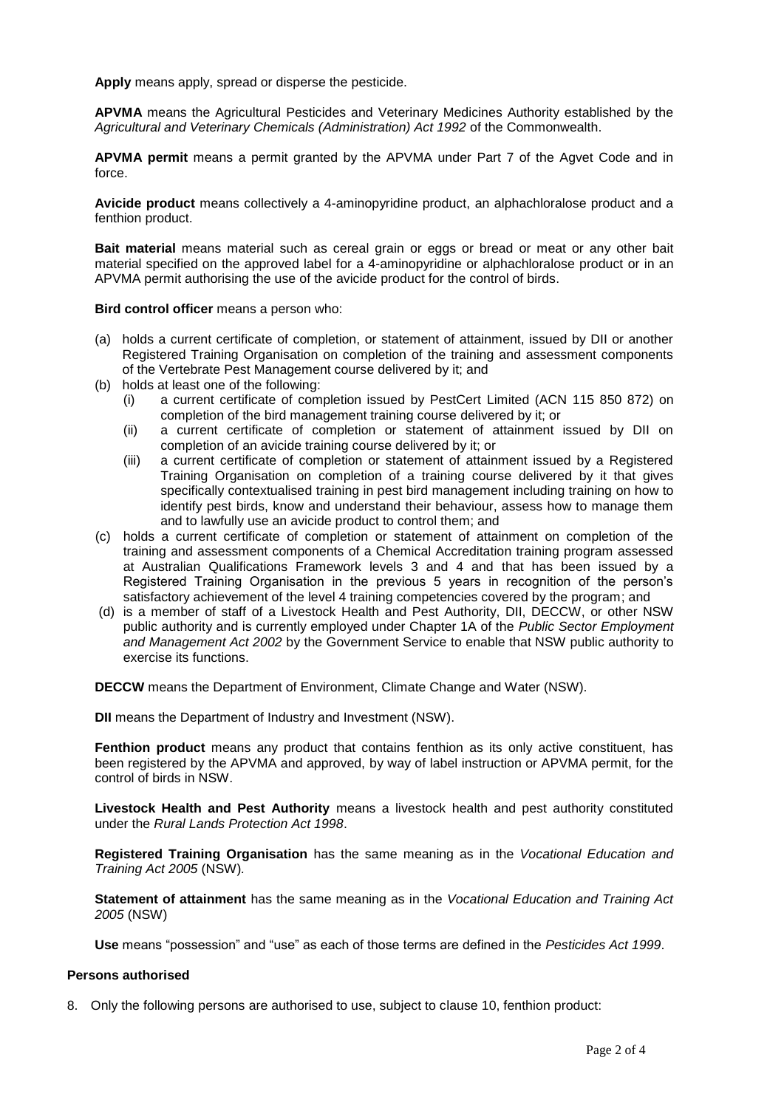**Apply** means apply, spread or disperse the pesticide.

**APVMA** means the Agricultural Pesticides and Veterinary Medicines Authority established by the *Agricultural and Veterinary Chemicals (Administration) Act 1992* of the Commonwealth.

**APVMA permit** means a permit granted by the APVMA under Part 7 of the Agvet Code and in force.

**Avicide product** means collectively a 4-aminopyridine product, an alphachloralose product and a fenthion product.

**Bait material** means material such as cereal grain or eggs or bread or meat or any other bait material specified on the approved label for a 4-aminopyridine or alphachloralose product or in an APVMA permit authorising the use of the avicide product for the control of birds.

**Bird control officer** means a person who:

- (a) holds a current certificate of completion, or statement of attainment, issued by DII or another Registered Training Organisation on completion of the training and assessment components of the Vertebrate Pest Management course delivered by it; and
- (b) holds at least one of the following:
	- (i) a current certificate of completion issued by PestCert Limited (ACN 115 850 872) on completion of the bird management training course delivered by it; or
	- (ii) a current certificate of completion or statement of attainment issued by DII on completion of an avicide training course delivered by it; or
	- (iii) a current certificate of completion or statement of attainment issued by a Registered Training Organisation on completion of a training course delivered by it that gives specifically contextualised training in pest bird management including training on how to identify pest birds, know and understand their behaviour, assess how to manage them and to lawfully use an avicide product to control them; and
- (c) holds a current certificate of completion or statement of attainment on completion of the training and assessment components of a Chemical Accreditation training program assessed at Australian Qualifications Framework levels 3 and 4 and that has been issued by a Registered Training Organisation in the previous 5 years in recognition of the person's satisfactory achievement of the level 4 training competencies covered by the program; and
- (d) is a member of staff of a Livestock Health and Pest Authority, DII, DECCW, or other NSW public authority and is currently employed under Chapter 1A of the *Public Sector Employment and Management Act 2002* by the Government Service to enable that NSW public authority to exercise its functions.

**DECCW** means the Department of Environment, Climate Change and Water (NSW).

**DII** means the Department of Industry and Investment (NSW).

**Fenthion product** means any product that contains fenthion as its only active constituent, has been registered by the APVMA and approved, by way of label instruction or APVMA permit, for the control of birds in NSW.

**Livestock Health and Pest Authority** means a livestock health and pest authority constituted under the *Rural Lands Protection Act 1998*.

**Registered Training Organisation** has the same meaning as in the *Vocational Education and Training Act 2005* (NSW)*.*

**Statement of attainment** has the same meaning as in the *Vocational Education and Training Act 2005* (NSW)

**Use** means "possession" and "use" as each of those terms are defined in the *Pesticides Act 1999*.

#### **Persons authorised**

8. Only the following persons are authorised to use, subject to clause 10, fenthion product: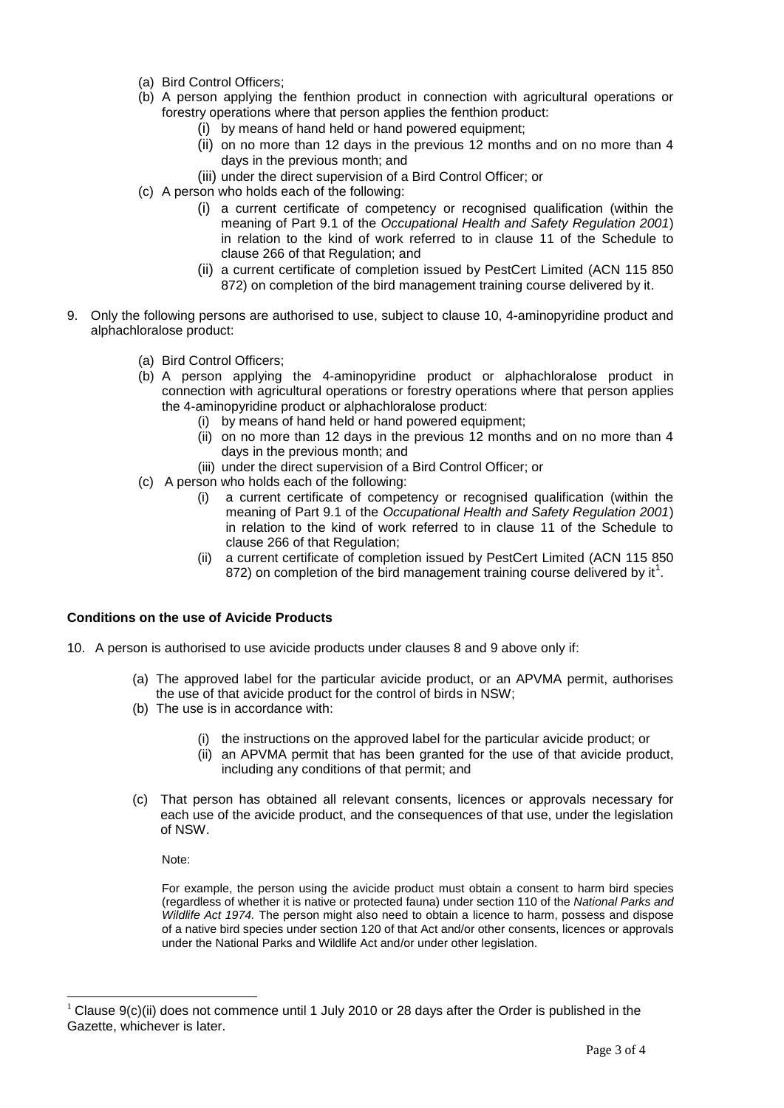- (a) Bird Control Officers;
- (b) A person applying the fenthion product in connection with agricultural operations or forestry operations where that person applies the fenthion product:
	- (i) by means of hand held or hand powered equipment;
	- (ii) on no more than 12 days in the previous 12 months and on no more than 4 days in the previous month; and
	- (iii) under the direct supervision of a Bird Control Officer; or
- (c) A person who holds each of the following:
	- (i) a current certificate of competency or recognised qualification (within the meaning of Part 9.1 of the *Occupational Health and Safety Regulation 2001*) in relation to the kind of work referred to in clause 11 of the Schedule to clause 266 of that Regulation; and
	- (ii) a current certificate of completion issued by PestCert Limited (ACN 115 850 872) on completion of the bird management training course delivered by it.
- 9. Only the following persons are authorised to use, subject to clause 10, 4-aminopyridine product and alphachloralose product:
	- (a) Bird Control Officers;
	- (b) A person applying the 4-aminopyridine product or alphachloralose product in connection with agricultural operations or forestry operations where that person applies the 4-aminopyridine product or alphachloralose product:
		- (i) by means of hand held or hand powered equipment;
		- (ii) on no more than 12 days in the previous 12 months and on no more than 4 days in the previous month; and
		- (iii) under the direct supervision of a Bird Control Officer; or
	- (c) A person who holds each of the following:
		- (i) a current certificate of competency or recognised qualification (within the meaning of Part 9.1 of the *Occupational Health and Safety Regulation 2001*) in relation to the kind of work referred to in clause 11 of the Schedule to clause 266 of that Regulation;
		- (ii) a current certificate of completion issued by PestCert Limited (ACN 115 850 872) on completion of the bird management training course delivered by it<sup>1</sup>.

#### **Conditions on the use of Avicide Products**

- 10. A person is authorised to use avicide products under clauses 8 and 9 above only if:
	- (a) The approved label for the particular avicide product, or an APVMA permit, authorises the use of that avicide product for the control of birds in NSW;
	- (b) The use is in accordance with:
		- (i) the instructions on the approved label for the particular avicide product; or
		- (ii) an APVMA permit that has been granted for the use of that avicide product, including any conditions of that permit; and
	- (c) That person has obtained all relevant consents, licences or approvals necessary for each use of the avicide product, and the consequences of that use, under the legislation of NSW.

Note:

 $\overline{a}$ 

For example, the person using the avicide product must obtain a consent to harm bird species (regardless of whether it is native or protected fauna) under section 110 of the *National Parks and Wildlife Act 1974.* The person might also need to obtain a licence to harm, possess and dispose of a native bird species under section 120 of that Act and/or other consents, licences or approvals under the National Parks and Wildlife Act and/or under other legislation.

Clause 9(c)(ii) does not commence until 1 July 2010 or 28 days after the Order is published in the Gazette, whichever is later.